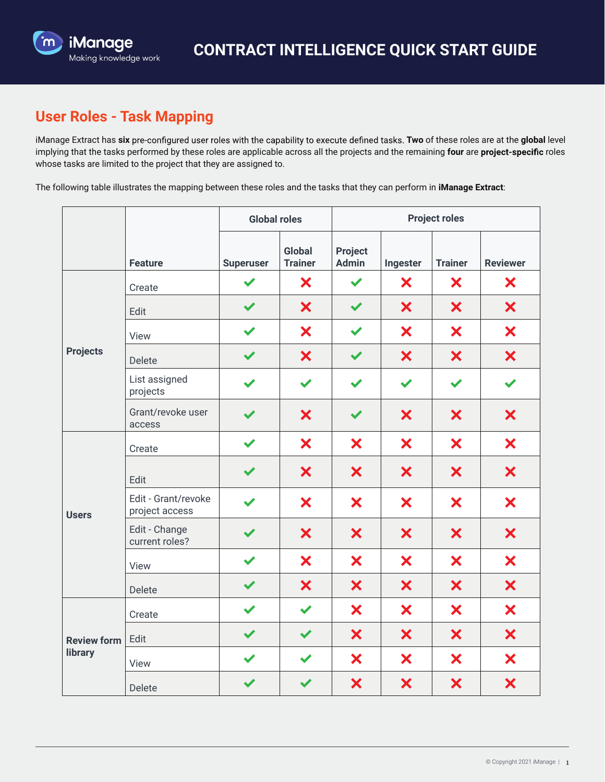

## **User Roles - Task Mapping**

iManage Extract has six pre-configured user roles with the capability to execute defined tasks. Two of these roles are at the global level implying that the tasks performed by these roles are applicable across all the projects and the remaining four are project-specific roles whose tasks are limited to the project that they are assigned to.

The following table illustrates the mapping between these roles and the tasks that they can perform in **iManage Extract**:

|                               |                                       | <b>Global roles</b>  |                          | <b>Project roles</b>    |                      |                      |                 |
|-------------------------------|---------------------------------------|----------------------|--------------------------|-------------------------|----------------------|----------------------|-----------------|
|                               | <b>Feature</b>                        | <b>Superuser</b>     | Global<br><b>Trainer</b> | Project<br><b>Admin</b> | Ingester             | <b>Trainer</b>       | <b>Reviewer</b> |
| <b>Projects</b>               | Create                                |                      | X                        | ✔                       | X                    | ×                    | ×               |
|                               | Edit                                  | $\checkmark$         | ×                        | $\blacktriangledown$    | ×                    | ×                    | X               |
|                               | View                                  | $\blacktriangledown$ | ×                        | $\blacktriangledown$    | ×                    | ×                    | ×               |
|                               | Delete                                | $\blacktriangledown$ | ×                        | $\checkmark$            | ×                    | ×                    | ×               |
|                               | List assigned<br>projects             | $\blacktriangledown$ | $\blacktriangledown$     | $\blacktriangledown$    | $\blacktriangledown$ | $\blacktriangledown$ |                 |
|                               | Grant/revoke user<br>access           | $\blacktriangledown$ | ×                        | $\blacktriangledown$    | ×                    | ×                    | ×               |
| <b>Users</b>                  | Create                                | ✔                    | ×                        | ×                       | ×                    | ×                    | ×               |
|                               | Edit                                  |                      | ×                        | ×                       | ×                    | ×                    | ×               |
|                               | Edit - Grant/revoke<br>project access |                      | ×                        | ×                       | ×                    | ×                    | ×               |
|                               | Edit - Change<br>current roles?       | $\blacktriangledown$ | ×                        | ×                       | ×                    | ×                    | ×               |
|                               | View                                  | $\blacktriangledown$ | ×                        | ×                       | ×                    | ×                    | ×               |
|                               | Delete                                | $\checkmark$         | ×                        | ×                       | ×                    | ×                    | $\bm{x}$        |
| <b>Review form</b><br>library | Create                                | $\blacktriangledown$ | $\blacktriangledown$     | ×                       | ×                    | ×                    | ×               |
|                               | Edit                                  | $\blacktriangledown$ | $\blacktriangledown$     | ×                       | ×                    | $\bm{x}$             | ×               |
|                               | View                                  | $\checkmark$         |                          | ×                       | ×                    | ×                    | ×               |
|                               | Delete                                | $\blacktriangledown$ | $\blacktriangledown$     | ×                       | ×                    | ×                    | ×               |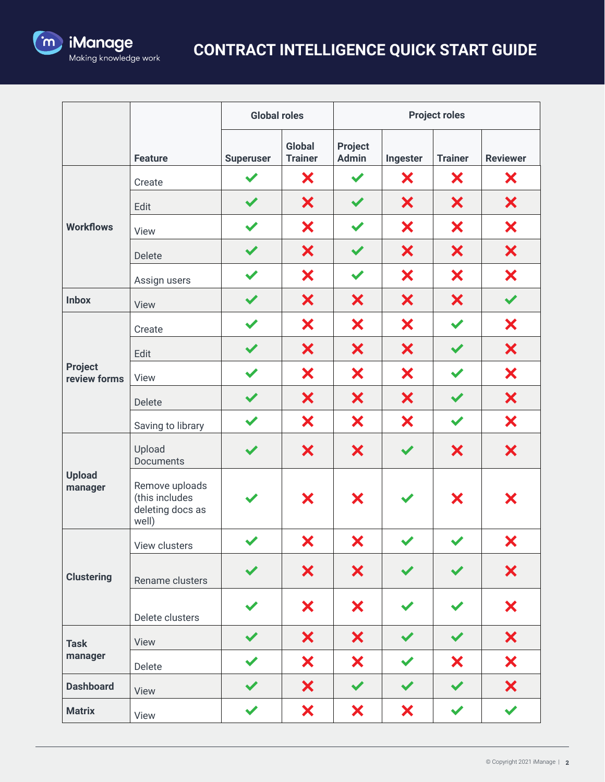

## **CONTRACT INTELLIGENCE QUICK START GUIDE**

|                                | <b>Global roles</b>                                           |                      | <b>Project roles</b>     |                         |                      |                      |                      |
|--------------------------------|---------------------------------------------------------------|----------------------|--------------------------|-------------------------|----------------------|----------------------|----------------------|
|                                | <b>Feature</b>                                                | <b>Superuser</b>     | Global<br><b>Trainer</b> | Project<br><b>Admin</b> | Ingester             | <b>Trainer</b>       | <b>Reviewer</b>      |
| <b>Workflows</b>               | Create                                                        | $\blacktriangledown$ | ×                        | $\blacktriangledown$    | X                    | ×                    | X                    |
|                                | Edit                                                          | $\blacktriangledown$ | ×                        | $\blacktriangledown$    | ×                    | ×                    | X                    |
|                                | View                                                          | $\blacktriangledown$ | ×                        | $\blacktriangledown$    | ×                    | ×                    | ×                    |
|                                | Delete                                                        |                      | ×                        |                         | ×                    | ×                    | ×                    |
|                                | Assign users                                                  | $\blacktriangledown$ | ×                        | $\blacktriangledown$    | ×                    | ×                    | ×                    |
| <b>Inbox</b>                   | View                                                          | $\checkmark$         | ×                        | ×                       | ×                    | ×                    | $\checkmark$         |
|                                | Create                                                        |                      | ×                        | ×                       | ×                    | $\blacktriangledown$ | ×                    |
|                                | Edit                                                          |                      | ×                        | ×                       | ×                    | $\checkmark$         | ×                    |
| <b>Project</b><br>review forms | View                                                          | $\blacktriangledown$ | ×                        | ×                       | ×                    | $\checkmark$         | ×                    |
|                                | Delete                                                        | $\checkmark$         | ×                        | ×                       | ×                    | $\checkmark$         | ×                    |
|                                | Saving to library                                             | $\blacktriangledown$ | ×                        | ×                       | ×                    | $\blacktriangledown$ | ×                    |
| <b>Upload</b><br>manager       | Upload<br>Documents                                           |                      | ×                        | ×                       | $\checkmark$         | ×                    | ×                    |
|                                | Remove uploads<br>(this includes<br>deleting docs as<br>well) |                      | X                        | ×                       | ✔                    | ×                    | ×                    |
| <b>Clustering</b>              | View clusters                                                 | $\blacktriangledown$ | ×                        | ×                       |                      |                      | ×                    |
|                                | Rename clusters                                               |                      | ×                        | ×                       | $\checkmark$         |                      | ×                    |
|                                | Delete clusters                                               |                      | X                        | X                       |                      |                      | ×                    |
| <b>Task</b><br>manager         | View                                                          |                      | ×                        | ×                       | $\checkmark$         | $\blacktriangledown$ | ×                    |
|                                | Delete                                                        |                      | ×                        | ×                       | $\checkmark$         | ×                    | ×                    |
| <b>Dashboard</b>               | View                                                          |                      | X                        | $\blacktriangledown$    | $\blacktriangledown$ | $\blacktriangledown$ | ×                    |
| <b>Matrix</b>                  | View                                                          |                      | ×                        | ×                       | ×                    | $\checkmark$         | $\blacktriangledown$ |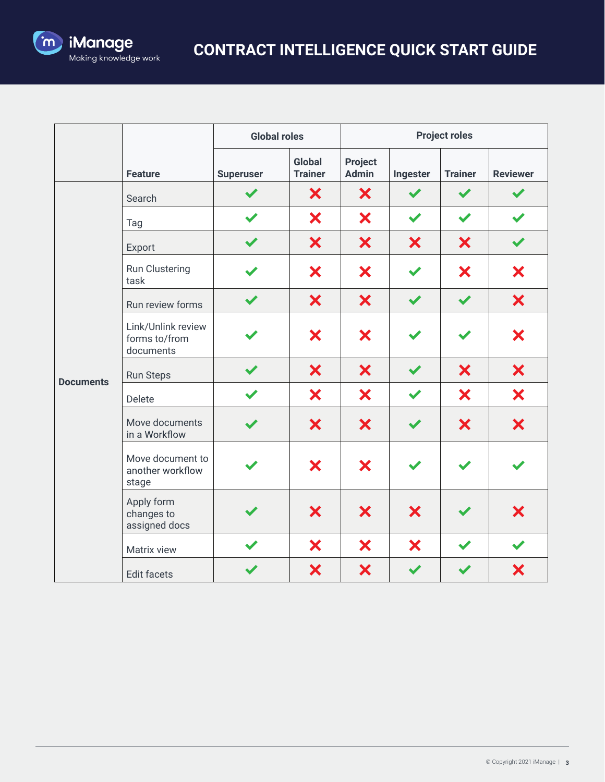

|                  |                                                  | <b>Global roles</b> |                                 |                                | <b>Project roles</b> |                      |                 |
|------------------|--------------------------------------------------|---------------------|---------------------------------|--------------------------------|----------------------|----------------------|-----------------|
|                  | <b>Feature</b>                                   | <b>Superuser</b>    | <b>Global</b><br><b>Trainer</b> | <b>Project</b><br><b>Admin</b> | Ingester             | <b>Trainer</b>       | <b>Reviewer</b> |
| <b>Documents</b> | Search                                           |                     | ×                               | X                              |                      | $\blacktriangledown$ |                 |
|                  | Tag                                              |                     | ×                               | ×                              | $\blacktriangledown$ | $\blacktriangledown$ |                 |
|                  | Export                                           |                     | ×                               | ×                              | ×                    | ×                    |                 |
|                  | Run Clustering<br>task                           |                     | ×                               | ×                              |                      | ×                    | ×               |
|                  | Run review forms                                 | ✔                   | ×                               | ×                              |                      | $\blacktriangledown$ | ×               |
|                  | Link/Unlink review<br>forms to/from<br>documents |                     | ×                               | ×                              |                      |                      | ×               |
|                  | Run Steps                                        |                     | ×                               | ×                              |                      | ×                    | ×               |
|                  | Delete                                           |                     | ×                               | ×                              | $\blacktriangledown$ | ×                    | ×               |
|                  | Move documents<br>in a Workflow                  |                     | ×                               | ×                              |                      | ×                    | ×               |
|                  | Move document to<br>another workflow<br>stage    |                     | ×                               | ×                              |                      |                      |                 |
|                  | Apply form<br>changes to<br>assigned docs        |                     | ×                               | X                              | ×                    |                      | ×               |
|                  | Matrix view                                      |                     | ×                               | ×                              | ×                    |                      |                 |
|                  | Edit facets                                      |                     | ×                               | ×                              |                      |                      | ×               |